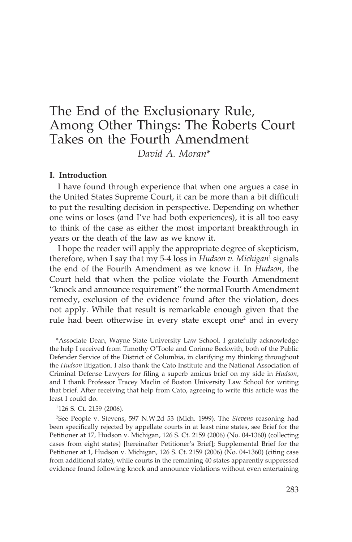# The End of the Exclusionary Rule, Among Other Things: The Roberts Court Takes on the Fourth Amendment *David A. Moran*\*

## **I. Introduction**

I have found through experience that when one argues a case in the United States Supreme Court, it can be more than a bit difficult to put the resulting decision in perspective. Depending on whether one wins or loses (and I've had both experiences), it is all too easy to think of the case as either the most important breakthrough in years or the death of the law as we know it.

I hope the reader will apply the appropriate degree of skepticism, therefore, when I say that my 5-4 loss in *Hudson v. Michigan*<sup>1</sup> signals the end of the Fourth Amendment as we know it. In *Hudson*, the Court held that when the police violate the Fourth Amendment ''knock and announce requirement'' the normal Fourth Amendment remedy, exclusion of the evidence found after the violation, does not apply. While that result is remarkable enough given that the rule had been otherwise in every state except one<sup>2</sup> and in every

\*Associate Dean, Wayne State University Law School. I gratefully acknowledge the help I received from Timothy O'Toole and Corinne Beckwith, both of the Public Defender Service of the District of Columbia, in clarifying my thinking throughout the *Hudson* litigation. I also thank the Cato Institute and the National Association of Criminal Defense Lawyers for filing a superb amicus brief on my side in *Hudson*, and I thank Professor Tracey Maclin of Boston University Law School for writing that brief. After receiving that help from Cato, agreeing to write this article was the least I could do.

1126 S. Ct. 2159 (2006).

2See People v. Stevens, 597 N.W.2d 53 (Mich. 1999). The *Stevens* reasoning had been specifically rejected by appellate courts in at least nine states, see Brief for the Petitioner at 17, Hudson v. Michigan, 126 S. Ct. 2159 (2006) (No. 04-1360) (collecting cases from eight states) [hereinafter Petitioner's Brief]; Supplemental Brief for the Petitioner at 1, Hudson v. Michigan, 126 S. Ct. 2159 (2006) (No. 04-1360) (citing case from additional state), while courts in the remaining 40 states apparently suppressed evidence found following knock and announce violations without even entertaining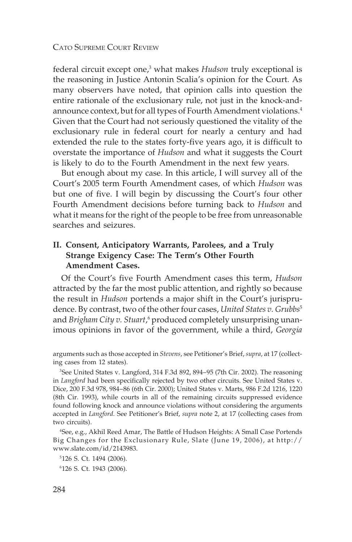federal circuit except one,3 what makes *Hudson* truly exceptional is the reasoning in Justice Antonin Scalia's opinion for the Court. As many observers have noted, that opinion calls into question the entire rationale of the exclusionary rule, not just in the knock-andannounce context, but for all types of Fourth Amendment violations.4 Given that the Court had not seriously questioned the vitality of the exclusionary rule in federal court for nearly a century and had extended the rule to the states forty-five years ago, it is difficult to overstate the importance of *Hudson* and what it suggests the Court is likely to do to the Fourth Amendment in the next few years.

But enough about my case. In this article, I will survey all of the Court's 2005 term Fourth Amendment cases, of which *Hudson* was but one of five. I will begin by discussing the Court's four other Fourth Amendment decisions before turning back to *Hudson* and what it means for the right of the people to be free from unreasonable searches and seizures.

## **II. Consent, Anticipatory Warrants, Parolees, and a Truly Strange Exigency Case: The Term's Other Fourth Amendment Cases.**

Of the Court's five Fourth Amendment cases this term, *Hudson* attracted by the far the most public attention, and rightly so because the result in *Hudson* portends a major shift in the Court's jurisprudence. By contrast, two of the other four cases, *United States v. Grubbs*<sup>5</sup> and *Brigham City v. Stuart,*° produced completely unsurprising unanimous opinions in favor of the government, while a third, *Georgia*

3See United States v. Langford, 314 F.3d 892, 894–95 (7th Cir. 2002). The reasoning in *Langford* had been specifically rejected by two other circuits. See United States v. Dice, 200 F.3d 978, 984–86 (6th Cir. 2000); United States v. Marts, 986 F.2d 1216, 1220 (8th Cir. 1993), while courts in all of the remaining circuits suppressed evidence found following knock and announce violations without considering the arguments accepted in *Langford.* See Petitioner's Brief, *supra* note 2, at 17 (collecting cases from two circuits).

4See, e.g., Akhil Reed Amar, The Battle of Hudson Heights: A Small Case Portends Big Changes for the Exclusionary Rule, Slate (June 19, 2006), at http:// www.slate.com/id/2143983.

arguments such as those accepted in *Stevens*, see Petitioner's Brief, *supra*, at 17 (collecting cases from 12 states).

<sup>5126</sup> S. Ct. 1494 (2006).

<sup>6126</sup> S. Ct. 1943 (2006).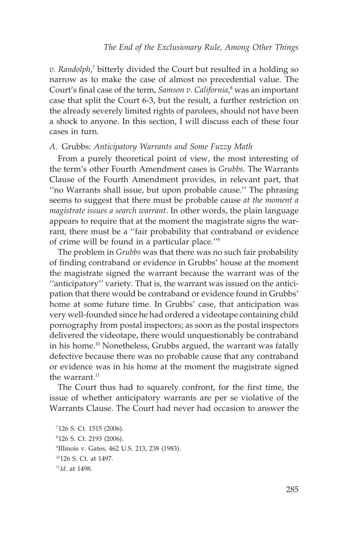*v. Randolph*, <sup>7</sup> bitterly divided the Court but resulted in a holding so narrow as to make the case of almost no precedential value. The Court's final case of the term, *Samson v. California*, <sup>8</sup> was an important case that split the Court 6-3, but the result, a further restriction on the already severely limited rights of parolees, should not have been a shock to anyone. In this section, I will discuss each of these four cases in turn.

#### *A.* Grubbs: *Anticipatory Warrants and Some Fuzzy Math*

From a purely theoretical point of view, the most interesting of the term's other Fourth Amendment cases is *Grubbs*. The Warrants Clause of the Fourth Amendment provides, in relevant part, that ''no Warrants shall issue, but upon probable cause.'' The phrasing seems to suggest that there must be probable cause *at the moment a magistrate issues a search warrant*. In other words, the plain language appears to require that at the moment the magistrate signs the warrant, there must be a ''fair probability that contraband or evidence of crime will be found in a particular place.''9

The problem in *Grubbs* was that there was no such fair probability of finding contraband or evidence in Grubbs' house at the moment the magistrate signed the warrant because the warrant was of the ''anticipatory'' variety. That is, the warrant was issued on the anticipation that there would be contraband or evidence found in Grubbs' home at some future time. In Grubbs' case, that anticipation was very well-founded since he had ordered a videotape containing child pornography from postal inspectors; as soon as the postal inspectors delivered the videotape, there would unquestionably be contraband in his home.<sup>10</sup> Nonetheless, Grubbs argued, the warrant was fatally defective because there was no probable cause that any contraband or evidence was in his home at the moment the magistrate signed the warrant. $11$ 

The Court thus had to squarely confront, for the first time, the issue of whether anticipatory warrants are per se violative of the Warrants Clause. The Court had never had occasion to answer the

7126 S. Ct. 1515 (2006). 8126 S. Ct. 2193 (2006). <sup>9</sup>Illinois v. Gates, 462 U.S. 213, 238 (1983). 10126 S. Ct. at 1497. <sup>11</sup>*Id*. at 1498.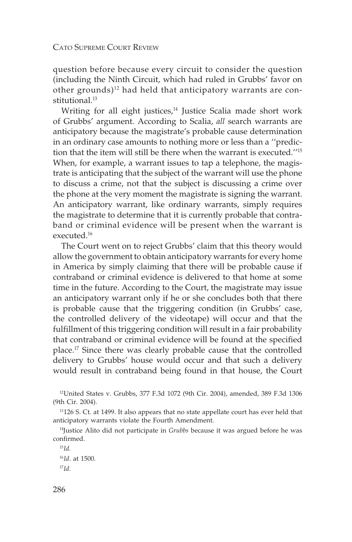question before because every circuit to consider the question (including the Ninth Circuit, which had ruled in Grubbs' favor on other grounds) $12$  had held that anticipatory warrants are constitutional.<sup>13</sup>

Writing for all eight justices,<sup>14</sup> Justice Scalia made short work of Grubbs' argument. According to Scalia, *all* search warrants are anticipatory because the magistrate's probable cause determination in an ordinary case amounts to nothing more or less than a ''prediction that the item will still be there when the warrant is executed.''15 When, for example, a warrant issues to tap a telephone, the magistrate is anticipating that the subject of the warrant will use the phone to discuss a crime, not that the subject is discussing a crime over the phone at the very moment the magistrate is signing the warrant. An anticipatory warrant, like ordinary warrants, simply requires the magistrate to determine that it is currently probable that contraband or criminal evidence will be present when the warrant is executed.<sup>16</sup>

The Court went on to reject Grubbs' claim that this theory would allow the government to obtain anticipatory warrants for every home in America by simply claiming that there will be probable cause if contraband or criminal evidence is delivered to that home at some time in the future. According to the Court, the magistrate may issue an anticipatory warrant only if he or she concludes both that there is probable cause that the triggering condition (in Grubbs' case, the controlled delivery of the videotape) will occur and that the fulfillment of this triggering condition will result in a fair probability that contraband or criminal evidence will be found at the specified place.17 Since there was clearly probable cause that the controlled delivery to Grubbs' house would occur and that such a delivery would result in contraband being found in that house, the Court

12United States v. Grubbs, 377 F.3d 1072 (9th Cir. 2004), amended, 389 F.3d 1306 (9th Cir. 2004).

14Justice Alito did not participate in *Grubbs* because it was argued before he was confirmed.

<sup>&</sup>lt;sup>13</sup>126 S. Ct. at 1499. It also appears that no state appellate court has ever held that anticipatory warrants violate the Fourth Amendment.

<sup>15</sup>*Id.* <sup>16</sup>*Id*. at 1500.

<sup>17</sup>*Id.*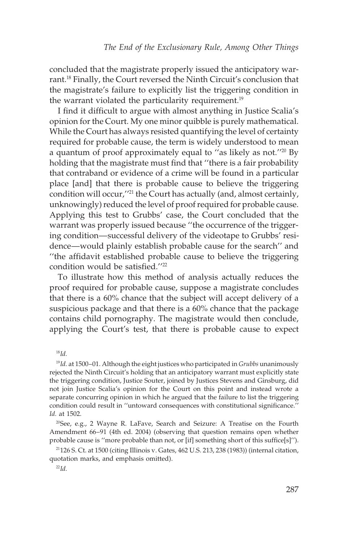concluded that the magistrate properly issued the anticipatory warrant.<sup>18</sup> Finally, the Court reversed the Ninth Circuit's conclusion that the magistrate's failure to explicitly list the triggering condition in the warrant violated the particularity requirement.<sup>19</sup>

I find it difficult to argue with almost anything in Justice Scalia's opinion for the Court. My one minor quibble is purely mathematical. While the Court has always resisted quantifying the level of certainty required for probable cause, the term is widely understood to mean a quantum of proof approximately equal to ''as likely as not.''20 By holding that the magistrate must find that ''there is a fair probability that contraband or evidence of a crime will be found in a particular place [and] that there is probable cause to believe the triggering condition will occur,''21 the Court has actually (and, almost certainly, unknowingly) reduced the level of proof required for probable cause. Applying this test to Grubbs' case, the Court concluded that the warrant was properly issued because ''the occurrence of the triggering condition—successful delivery of the videotape to Grubbs' residence—would plainly establish probable cause for the search'' and ''the affidavit established probable cause to believe the triggering condition would be satisfied.''22

To illustrate how this method of analysis actually reduces the proof required for probable cause, suppose a magistrate concludes that there is a 60% chance that the subject will accept delivery of a suspicious package and that there is a 60% chance that the package contains child pornography. The magistrate would then conclude, applying the Court's test, that there is probable cause to expect

<sup>18</sup>*Id.*

<sup>19</sup>*Id.* at 1500–01. Although the eight justices who participated in *Grubbs* unanimously rejected the Ninth Circuit's holding that an anticipatory warrant must explicitly state the triggering condition, Justice Souter, joined by Justices Stevens and Ginsburg, did not join Justice Scalia's opinion for the Court on this point and instead wrote a separate concurring opinion in which he argued that the failure to list the triggering condition could result in ''untoward consequences with constitutional significance.'' *Id.* at 1502.

<sup>20</sup>See, e.g., 2 Wayne R. LaFave, Search and Seizure: A Treatise on the Fourth Amendment 66–91 (4th ed. 2004) (observing that question remains open whether probable cause is ''more probable than not, or [if] something short of this suffice[s]'').

21126 S. Ct. at 1500 (citing Illinois v. Gates, 462 U.S. 213, 238 (1983)) (internal citation, quotation marks, and emphasis omitted).

<sup>22</sup>*Id.*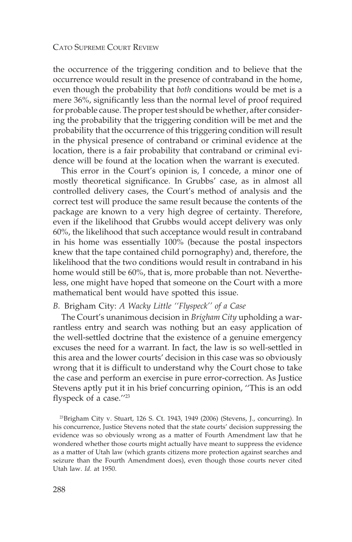the occurrence of the triggering condition and to believe that the occurrence would result in the presence of contraband in the home, even though the probability that *both* conditions would be met is a mere 36%, significantly less than the normal level of proof required for probable cause. The proper test should be whether, after considering the probability that the triggering condition will be met and the probability that the occurrence of this triggering condition will result in the physical presence of contraband or criminal evidence at the location, there is a fair probability that contraband or criminal evidence will be found at the location when the warrant is executed.

This error in the Court's opinion is, I concede, a minor one of mostly theoretical significance. In Grubbs' case, as in almost all controlled delivery cases, the Court's method of analysis and the correct test will produce the same result because the contents of the package are known to a very high degree of certainty. Therefore, even if the likelihood that Grubbs would accept delivery was only 60%, the likelihood that such acceptance would result in contraband in his home was essentially 100% (because the postal inspectors knew that the tape contained child pornography) and, therefore, the likelihood that the two conditions would result in contraband in his home would still be 60%, that is, more probable than not. Nevertheless, one might have hoped that someone on the Court with a more mathematical bent would have spotted this issue.

*B.* Brigham City: *A Wacky Little ''Flyspeck'' of a Case*

The Court's unanimous decision in *Brigham City* upholding a warrantless entry and search was nothing but an easy application of the well-settled doctrine that the existence of a genuine emergency excuses the need for a warrant. In fact, the law is so well-settled in this area and the lower courts' decision in this case was so obviously wrong that it is difficult to understand why the Court chose to take the case and perform an exercise in pure error-correction. As Justice Stevens aptly put it in his brief concurring opinion, ''This is an odd flyspeck of a case."<sup>23</sup>

23Brigham City v. Stuart, 126 S. Ct. 1943, 1949 (2006) (Stevens, J., concurring). In his concurrence, Justice Stevens noted that the state courts' decision suppressing the evidence was so obviously wrong as a matter of Fourth Amendment law that he wondered whether those courts might actually have meant to suppress the evidence as a matter of Utah law (which grants citizens more protection against searches and seizure than the Fourth Amendment does), even though those courts never cited Utah law. *Id.* at 1950.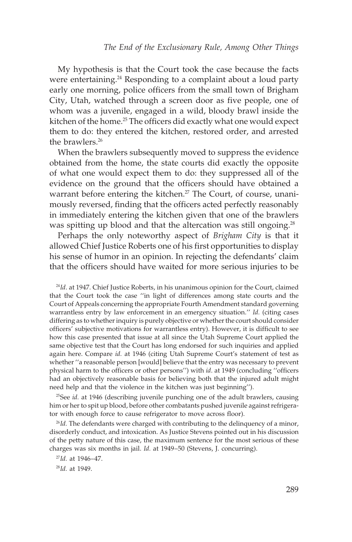My hypothesis is that the Court took the case because the facts were entertaining.<sup>24</sup> Responding to a complaint about a loud party early one morning, police officers from the small town of Brigham City, Utah, watched through a screen door as five people, one of whom was a juvenile, engaged in a wild, bloody brawl inside the kitchen of the home.<sup>25</sup> The officers did exactly what one would expect them to do: they entered the kitchen, restored order, and arrested the brawlers.<sup>26</sup>

When the brawlers subsequently moved to suppress the evidence obtained from the home, the state courts did exactly the opposite of what one would expect them to do: they suppressed all of the evidence on the ground that the officers should have obtained a warrant before entering the kitchen.<sup>27</sup> The Court, of course, unanimously reversed, finding that the officers acted perfectly reasonably in immediately entering the kitchen given that one of the brawlers was spitting up blood and that the altercation was still ongoing.<sup>28</sup>

Perhaps the only noteworthy aspect of *Brigham City* is that it allowed Chief Justice Roberts one of his first opportunities to display his sense of humor in an opinion. In rejecting the defendants' claim that the officers should have waited for more serious injuries to be

<sup>24</sup>Id. at 1947. Chief Justice Roberts, in his unanimous opinion for the Court, claimed that the Court took the case ''in light of differences among state courts and the Court of Appeals concerning the appropriate Fourth Amendment standard governing warrantless entry by law enforcement in an emergency situation.'' *Id.* (citing cases differing as to whether inquiry is purely objective or whether the court should consider officers' subjective motivations for warrantless entry). However, it is difficult to see how this case presented that issue at all since the Utah Supreme Court applied the same objective test that the Court has long endorsed for such inquiries and applied again here. Compare *id.* at 1946 (citing Utah Supreme Court's statement of test as whether ''a reasonable person [would] believe that the entry was necessary to prevent physical harm to the officers or other persons'') with *id*. at 1949 (concluding ''officers had an objectively reasonable basis for believing both that the injured adult might need help and that the violence in the kitchen was just beginning'').

25See *id.* at 1946 (describing juvenile punching one of the adult brawlers, causing him or her to spit up blood, before other combatants pushed juvenile against refrigerator with enough force to cause refrigerator to move across floor).

<sup>26</sup>*Id*. The defendants were charged with contributing to the delinquency of a minor, disorderly conduct, and intoxication. As Justice Stevens pointed out in his discussion of the petty nature of this case, the maximum sentence for the most serious of these charges was six months in jail. *Id.* at 1949–50 (Stevens, J. concurring).

<sup>27</sup>*Id.* at 1946–47.

<sup>28</sup>*Id.* at 1949.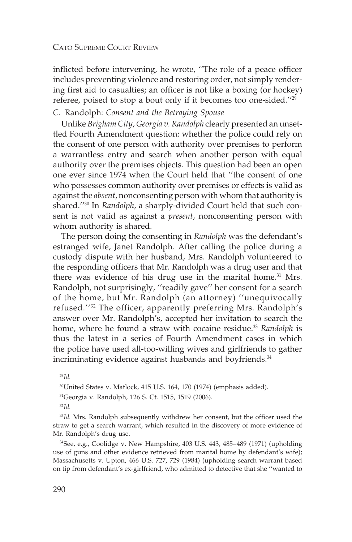inflicted before intervening, he wrote, ''The role of a peace officer includes preventing violence and restoring order, not simply rendering first aid to casualties; an officer is not like a boxing (or hockey) referee, poised to stop a bout only if it becomes too one-sided.''29

# *C.* Randolph: *Consent and the Betraying Spouse*

Unlike *Brigham City*, *Georgia v. Randolph* clearly presented an unsettled Fourth Amendment question: whether the police could rely on the consent of one person with authority over premises to perform a warrantless entry and search when another person with equal authority over the premises objects. This question had been an open one ever since 1974 when the Court held that ''the consent of one who possesses common authority over premises or effects is valid as against the *absent*, nonconsenting person with whom that authority is shared.''30 In *Randolph*, a sharply-divided Court held that such consent is not valid as against a *present*, nonconsenting person with whom authority is shared.

The person doing the consenting in *Randolph* was the defendant's estranged wife, Janet Randolph. After calling the police during a custody dispute with her husband, Mrs. Randolph volunteered to the responding officers that Mr. Randolph was a drug user and that there was evidence of his drug use in the marital home.<sup>31</sup> Mrs. Randolph, not surprisingly, ''readily gave'' her consent for a search of the home, but Mr. Randolph (an attorney) ''unequivocally refused.''32 The officer, apparently preferring Mrs. Randolph's answer over Mr. Randolph's, accepted her invitation to search the home, where he found a straw with cocaine residue.<sup>33</sup> *Randolph* is thus the latest in a series of Fourth Amendment cases in which the police have used all-too-willing wives and girlfriends to gather incriminating evidence against husbands and boyfriends.<sup>34</sup>

<sup>29</sup>*Id.*

30United States v. Matlock, 415 U.S. 164, 170 (1974) (emphasis added).

31Georgia v. Randolph, 126 S. Ct. 1515, 1519 (2006).

<sup>33</sup>*Id.* Mrs. Randolph subsequently withdrew her consent, but the officer used the straw to get a search warrant, which resulted in the discovery of more evidence of Mr. Randolph's drug use.

34See, e.g., Coolidge v. New Hampshire, 403 U.S. 443, 485–489 (1971) (upholding use of guns and other evidence retrieved from marital home by defendant's wife); Massachusetts v. Upton, 466 U.S. 727, 729 (1984) (upholding search warrant based on tip from defendant's ex-girlfriend, who admitted to detective that she ''wanted to

<sup>32</sup>*Id.*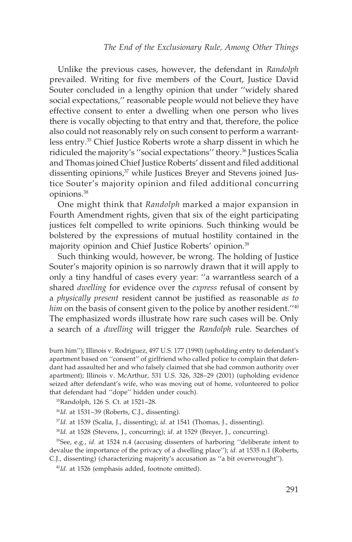Unlike the previous cases, however, the defendant in *Randolph* prevailed. Writing for five members of the Court, Justice David Souter concluded in a lengthy opinion that under ''widely shared social expectations,'' reasonable people would not believe they have effective consent to enter a dwelling when one person who lives there is vocally objecting to that entry and that, therefore, the police also could not reasonably rely on such consent to perform a warrantless entry.35 Chief Justice Roberts wrote a sharp dissent in which he ridiculed the majority's "social expectations" theory.<sup>36</sup> Justices Scalia and Thomas joined Chief Justice Roberts' dissent and filed additional dissenting opinions,<sup>37</sup> while Justices Breyer and Stevens joined Justice Souter's majority opinion and filed additional concurring opinions.38

One might think that *Randolph* marked a major expansion in Fourth Amendment rights, given that six of the eight participating justices felt compelled to write opinions. Such thinking would be bolstered by the expressions of mutual hostility contained in the majority opinion and Chief Justice Roberts' opinion.<sup>39</sup>

Such thinking would, however, be wrong. The holding of Justice Souter's majority opinion is so narrowly drawn that it will apply to only a tiny handful of cases every year: ''a warrantless search of a shared *dwelling* for evidence over the *express* refusal of consent by a *physically present* resident cannot be justified as reasonable *as to him* on the basis of consent given to the police by another resident.''40 The emphasized words illustrate how rare such cases will be. Only a search of a *dwelling* will trigger the *Randolph* rule. Searches of

burn him''); Illinois v. Rodriguez, 497 U.S. 177 (1990) (upholding entry to defendant's apartment based on ''consent'' of girlfriend who called police to complain that defendant had assaulted her and who falsely claimed that she had common authority over apartment); Illinois v. McArthur, 531 U.S. 326, 328–29 (2001) (upholding evidence seized after defendant's wife, who was moving out of home, volunteered to police that defendant had ''dope'' hidden under couch).

35Randolph, 126 S. Ct. at 1521–28.

<sup>36</sup>*Id.* at 1531–39 (Roberts, C.J., dissenting).

<sup>37</sup>*Id*. at 1539 (Scalia, J., dissenting); *id*. at 1541 (Thomas, J., dissenting).

<sup>38</sup>*Id*. at 1528 (Stevens, J., concurring); *id*. at 1529 (Breyer, J., concurring).

39See, e.g., *id.* at 1524 n.4 (accusing dissenters of harboring ''deliberate intent to devalue the importance of the privacy of a dwelling place''); *id.* at 1535 n.1 (Roberts, C.J., dissenting) (characterizing majority's accusation as ''a bit overwrought'').

<sup>40</sup>*Id.* at 1526 (emphasis added, footnote omitted).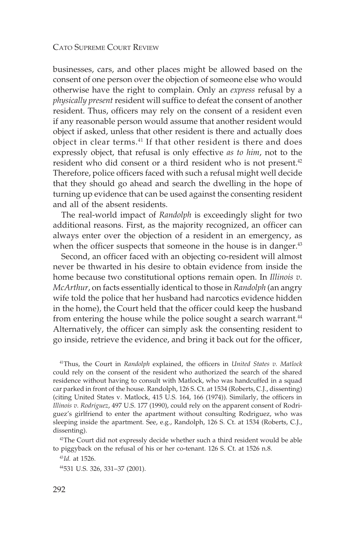businesses, cars, and other places might be allowed based on the consent of one person over the objection of someone else who would otherwise have the right to complain. Only an *express* refusal by a *physically present* resident will suffice to defeat the consent of another resident. Thus, officers may rely on the consent of a resident even if any reasonable person would assume that another resident would object if asked, unless that other resident is there and actually does object in clear terms.<sup>41</sup> If that other resident is there and does expressly object, that refusal is only effective *as to him*, not to the resident who did consent or a third resident who is not present.<sup>42</sup> Therefore, police officers faced with such a refusal might well decide that they should go ahead and search the dwelling in the hope of turning up evidence that can be used against the consenting resident and all of the absent residents.

The real-world impact of *Randolph* is exceedingly slight for two additional reasons. First, as the majority recognized, an officer can always enter over the objection of a resident in an emergency, as when the officer suspects that someone in the house is in danger.<sup>43</sup>

Second, an officer faced with an objecting co-resident will almost never be thwarted in his desire to obtain evidence from inside the home because two constitutional options remain open. In *Illinois v. McArthur*, on facts essentially identical to those in *Randolph* (an angry wife told the police that her husband had narcotics evidence hidden in the home), the Court held that the officer could keep the husband from entering the house while the police sought a search warrant.<sup>44</sup> Alternatively, the officer can simply ask the consenting resident to go inside, retrieve the evidence, and bring it back out for the officer,

41Thus, the Court in *Randolph* explained, the officers in *United States v. Matlock* could rely on the consent of the resident who authorized the search of the shared residence without having to consult with Matlock, who was handcuffed in a squad car parked in front of the house. Randolph, 126 S. Ct. at 1534 (Roberts, C.J., dissenting) (citing United States v. Matlock, 415 U.S. 164, 166 (1974)). Similarly, the officers in *Illinois v. Rodriguez*, 497 U.S. 177 (1990), could rely on the apparent consent of Rodriguez's girlfriend to enter the apartment without consulting Rodriguez, who was sleeping inside the apartment. See, e.g., Randolph, 126 S. Ct. at 1534 (Roberts, C.J., dissenting).

<sup>42</sup>The Court did not expressly decide whether such a third resident would be able to piggyback on the refusal of his or her co-tenant. 126 S. Ct. at 1526 n.8.

<sup>43</sup>*Id.* at 1526.

44531 U.S. 326, 331–37 (2001).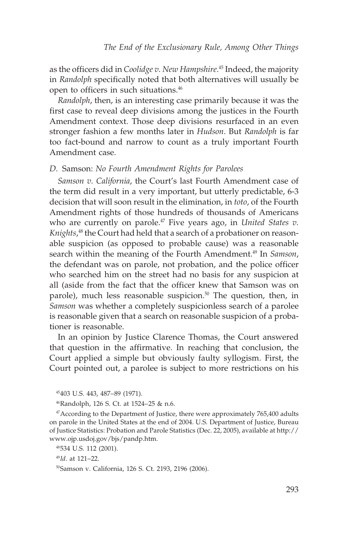as the officers did in *Coolidge v. New Hampshire*. <sup>45</sup> Indeed, the majority in *Randolph* specifically noted that both alternatives will usually be open to officers in such situations.46

*Randolph*, then, is an interesting case primarily because it was the first case to reveal deep divisions among the justices in the Fourth Amendment context. Those deep divisions resurfaced in an even stronger fashion a few months later in *Hudson*. But *Randolph* is far too fact-bound and narrow to count as a truly important Fourth Amendment case.

#### *D.* Samson: *No Fourth Amendment Rights for Parolees*

*Samson v. California*, the Court's last Fourth Amendment case of the term did result in a very important, but utterly predictable, 6-3 decision that will soon result in the elimination, in *toto*, of the Fourth Amendment rights of those hundreds of thousands of Americans who are currently on parole.<sup>47</sup> Five years ago, in *United States v*. *Knights*, <sup>48</sup> the Court had held that a search of a probationer on reasonable suspicion (as opposed to probable cause) was a reasonable search within the meaning of the Fourth Amendment.<sup>49</sup> In *Samson*, the defendant was on parole, not probation, and the police officer who searched him on the street had no basis for any suspicion at all (aside from the fact that the officer knew that Samson was on parole), much less reasonable suspicion.<sup>50</sup> The question, then, in *Samson* was whether a completely suspicionless search of a parolee is reasonable given that a search on reasonable suspicion of a probationer is reasonable.

In an opinion by Justice Clarence Thomas, the Court answered that question in the affirmative. In reaching that conclusion, the Court applied a simple but obviously faulty syllogism. First, the Court pointed out, a parolee is subject to more restrictions on his

46Randolph, 126 S. Ct. at 1524–25 & n.6.

<sup>47</sup> According to the Department of Justice, there were approximately 765,400 adults on parole in the United States at the end of 2004. U.S. Department of Justice, Bureau of Justice Statistics: Probation and Parole Statistics (Dec. 22, 2005), available at http:// www.ojp.usdoj.gov/bjs/pandp.htm.

48534 U.S. 112 (2001).

<sup>49</sup>*Id*. at 121–22.

50Samson v. California, 126 S. Ct. 2193, 2196 (2006).

<sup>45403</sup> U.S. 443, 487–89 (1971).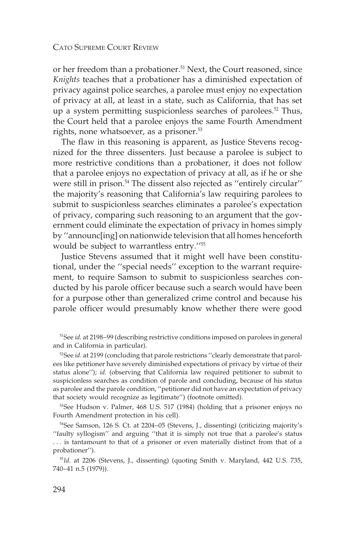or her freedom than a probationer.<sup>51</sup> Next, the Court reasoned, since *Knights* teaches that a probationer has a diminished expectation of privacy against police searches, a parolee must enjoy no expectation of privacy at all, at least in a state, such as California, that has set up a system permitting suspicionless searches of parolees.<sup>52</sup> Thus, the Court held that a parolee enjoys the same Fourth Amendment rights, none whatsoever, as a prisoner.<sup>53</sup>

The flaw in this reasoning is apparent, as Justice Stevens recognized for the three dissenters. Just because a parolee is subject to more restrictive conditions than a probationer, it does not follow that a parolee enjoys no expectation of privacy at all, as if he or she were still in prison.<sup>54</sup> The dissent also rejected as "entirely circular" the majority's reasoning that California's law requiring parolees to submit to suspicionless searches eliminates a parolee's expectation of privacy, comparing such reasoning to an argument that the government could eliminate the expectation of privacy in homes simply by ''announc[ing] on nationwide television that all homes henceforth would be subject to warrantless entry.''55

Justice Stevens assumed that it might well have been constitutional, under the ''special needs'' exception to the warrant requirement, to require Samson to submit to suspicionless searches conducted by his parole officer because such a search would have been for a purpose other than generalized crime control and because his parole officer would presumably know whether there were good

51See *id.* at 2198–99 (describing restrictive conditions imposed on parolees in general and in California in particular).

52See *id.* at 2199 (concluding that parole restrictions "clearly demonstrate that parolees like petitioner have severely diminished expectations of privacy by virtue of their status alone''); *id.* (observing that California law required petitioner to submit to suspicionless searches as condition of parole and concluding, because of his status as parolee and the parole condition, ''petitioner did not have an expectation of privacy that society would recognize as legitimate'') (footnote omitted).

53See Hudson v. Palmer, 468 U.S. 517 (1984) (holding that a prisoner enjoys no Fourth Amendment protection in his cell).

54See Samson, 126 S. Ct. at 2204–05 (Stevens, J., dissenting) (criticizing majority's ''faulty syllogism'' and arguing ''that it is simply not true that a parolee's status . . . is tantamount to that of a prisoner or even materially distinct from that of a probationer'').

<sup>55</sup>*Id.* at 2206 (Stevens, J., dissenting) (quoting Smith v. Maryland, 442 U.S. 735, 740–41 n.5 (1979)).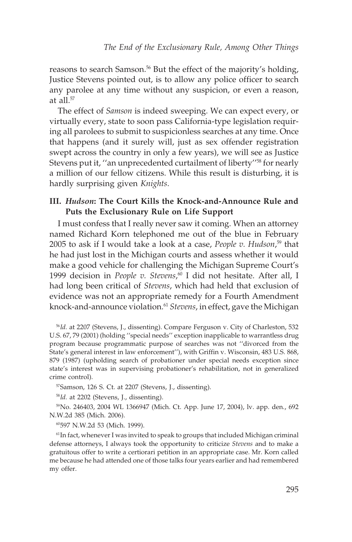reasons to search Samson.<sup>56</sup> But the effect of the majority's holding, Justice Stevens pointed out, is to allow any police officer to search any parolee at any time without any suspicion, or even a reason, at all.<sup>57</sup>

The effect of *Samson* is indeed sweeping. We can expect every, or virtually every, state to soon pass California-type legislation requiring all parolees to submit to suspicionless searches at any time. Once that happens (and it surely will, just as sex offender registration swept across the country in only a few years), we will see as Justice Stevens put it, "an unprecedented curtailment of liberty"<sup>58</sup> for nearly a million of our fellow citizens. While this result is disturbing, it is hardly surprising given *Knights*.

## **III.** *Hudson***: The Court Kills the Knock-and-Announce Rule and Puts the Exclusionary Rule on Life Support**

I must confess that I really never saw it coming. When an attorney named Richard Korn telephoned me out of the blue in February 2005 to ask if I would take a look at a case, *People v. Hudson*, <sup>59</sup> that he had just lost in the Michigan courts and assess whether it would make a good vehicle for challenging the Michigan Supreme Court's 1999 decision in *People v. Stevens*, <sup>60</sup> I did not hesitate. After all, I had long been critical of *Stevens*, which had held that exclusion of evidence was not an appropriate remedy for a Fourth Amendment knock-and-announce violation.61 *Stevens*, in effect, gave the Michigan

<sup>56</sup>*Id.* at 2207 (Stevens, J., dissenting). Compare Ferguson v. City of Charleston, 532 U.S. 67, 79 (2001) (holding ''special needs'' exception inapplicable to warrantless drug program because programmatic purpose of searches was not ''divorced from the State's general interest in law enforcement''), with Griffin v. Wisconsin, 483 U.S. 868, 879 (1987) (upholding search of probationer under special needs exception since state's interest was in supervising probationer's rehabilitation, not in generalized crime control).

57Samson, 126 S. Ct. at 2207 (Stevens, J., dissenting).

<sup>58</sup>*Id.* at 2202 (Stevens, J., dissenting).

59No. 246403, 2004 WL 1366947 (Mich. Ct. App. June 17, 2004), lv. app. den*.*, 692 N.W.2d 385 (Mich. 2006).

60597 N.W.2d 53 (Mich. 1999).

<sup>61</sup>In fact, whenever I was invited to speak to groups that included Michigan criminal defense attorneys, I always took the opportunity to criticize *Stevens* and to make a gratuitous offer to write a certiorari petition in an appropriate case. Mr. Korn called me because he had attended one of those talks four years earlier and had remembered my offer.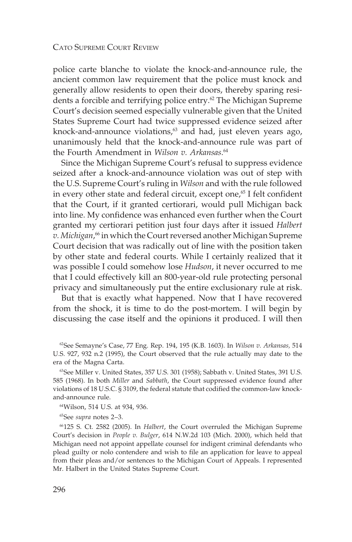police carte blanche to violate the knock-and-announce rule, the ancient common law requirement that the police must knock and generally allow residents to open their doors, thereby sparing residents a forcible and terrifying police entry.<sup>62</sup> The Michigan Supreme Court's decision seemed especially vulnerable given that the United States Supreme Court had twice suppressed evidence seized after knock-and-announce violations,<sup>63</sup> and had, just eleven years ago, unanimously held that the knock-and-announce rule was part of the Fourth Amendment in *Wilson v. Arkansas*. 64

Since the Michigan Supreme Court's refusal to suppress evidence seized after a knock-and-announce violation was out of step with the U.S. Supreme Court's ruling in *Wilson* and with the rule followed in every other state and federal circuit, except one,<sup>65</sup> I felt confident that the Court, if it granted certiorari, would pull Michigan back into line. My confidence was enhanced even further when the Court granted my certiorari petition just four days after it issued *Halbert v. Michigan*, <sup>66</sup> in which the Court reversed another Michigan Supreme Court decision that was radically out of line with the position taken by other state and federal courts. While I certainly realized that it was possible I could somehow lose *Hudson*, it never occurred to me that I could effectively kill an 800-year-old rule protecting personal privacy and simultaneously put the entire exclusionary rule at risk.

But that is exactly what happened. Now that I have recovered from the shock, it is time to do the post-mortem. I will begin by discussing the case itself and the opinions it produced. I will then

62See Semayne's Case, 77 Eng. Rep. 194, 195 (K.B. 1603). In *Wilson v. Arkansas,* 514 U.S. 927, 932 n.2 (1995), the Court observed that the rule actually may date to the era of the Magna Carta.

63See Miller v. United States, 357 U.S. 301 (1958); Sabbath v. United States, 391 U.S. 585 (1968). In both *Miller* and *Sabbath*, the Court suppressed evidence found after violations of 18 U.S.C. § 3109, the federal statute that codified the common-law knockand-announce rule.

64Wilson, 514 U.S. at 934, 936.

65See *supra* notes 2–3.

66125 S. Ct. 2582 (2005). In *Halbert*, the Court overruled the Michigan Supreme Court's decision in *People v. Bulger*, 614 N.W.2d 103 (Mich. 2000), which held that Michigan need not appoint appellate counsel for indigent criminal defendants who plead guilty or nolo contendere and wish to file an application for leave to appeal from their pleas and/or sentences to the Michigan Court of Appeals. I represented Mr. Halbert in the United States Supreme Court.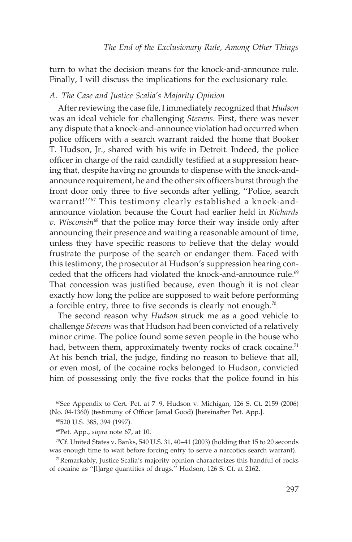turn to what the decision means for the knock-and-announce rule. Finally, I will discuss the implications for the exclusionary rule.

### *A. The Case and Justice Scalia's Majority Opinion*

After reviewing the case file, I immediately recognized that *Hudson* was an ideal vehicle for challenging *Stevens*. First, there was never any dispute that a knock-and-announce violation had occurred when police officers with a search warrant raided the home that Booker T. Hudson, Jr., shared with his wife in Detroit. Indeed, the police officer in charge of the raid candidly testified at a suppression hearing that, despite having no grounds to dispense with the knock-andannounce requirement, he and the other six officers burst through the front door only three to five seconds after yelling, ''Police, search warrant!"<sup>67</sup> This testimony clearly established a knock-andannounce violation because the Court had earlier held in *Richards v. Wisconsin*<sup>68</sup> that the police may force their way inside only after announcing their presence and waiting a reasonable amount of time, unless they have specific reasons to believe that the delay would frustrate the purpose of the search or endanger them. Faced with this testimony, the prosecutor at Hudson's suppression hearing conceded that the officers had violated the knock-and-announce rule.<sup>69</sup> That concession was justified because, even though it is not clear exactly how long the police are supposed to wait before performing a forcible entry, three to five seconds is clearly not enough. $70$ 

The second reason why *Hudson* struck me as a good vehicle to challenge *Stevens* was that Hudson had been convicted of a relatively minor crime. The police found some seven people in the house who had, between them, approximately twenty rocks of crack cocaine.<sup>71</sup> At his bench trial, the judge, finding no reason to believe that all, or even most, of the cocaine rocks belonged to Hudson, convicted him of possessing only the five rocks that the police found in his

 $67$ See Appendix to Cert. Pet. at 7–9, Hudson v. Michigan, 126 S. Ct. 2159 (2006) (No. 04-1360) (testimony of Officer Jamal Good) [hereinafter Pet. App.].

<sup>68520</sup> U.S. 385, 394 (1997).

<sup>69</sup>Pet. App., *supra* note 67, at 10.

 ${}^{\text{70}}$ Cf. United States v. Banks, 540 U.S. 31, 40–41 (2003) (holding that 15 to 20 seconds was enough time to wait before forcing entry to serve a narcotics search warrant).

<sup>71</sup>Remarkably, Justice Scalia's majority opinion characterizes this handful of rocks of cocaine as ''[l]arge quantities of drugs.'' Hudson, 126 S. Ct. at 2162.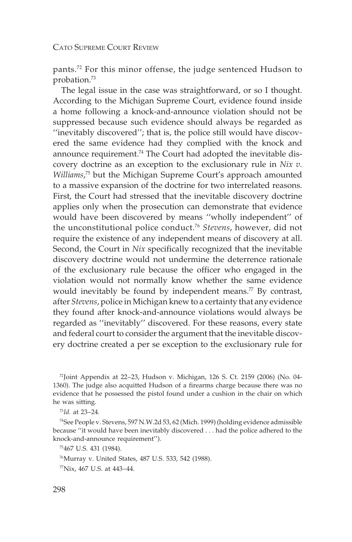pants.72 For this minor offense, the judge sentenced Hudson to probation.73

The legal issue in the case was straightforward, or so I thought. According to the Michigan Supreme Court, evidence found inside a home following a knock-and-announce violation should not be suppressed because such evidence should always be regarded as ''inevitably discovered''; that is, the police still would have discovered the same evidence had they complied with the knock and announce requirement.<sup>74</sup> The Court had adopted the inevitable discovery doctrine as an exception to the exclusionary rule in *Nix v. Williams*, <sup>75</sup> but the Michigan Supreme Court's approach amounted to a massive expansion of the doctrine for two interrelated reasons. First, the Court had stressed that the inevitable discovery doctrine applies only when the prosecution can demonstrate that evidence would have been discovered by means ''wholly independent'' of the unconstitutional police conduct.76 *Stevens*, however, did not require the existence of any independent means of discovery at all. Second, the Court in *Nix* specifically recognized that the inevitable discovery doctrine would not undermine the deterrence rationale of the exclusionary rule because the officer who engaged in the violation would not normally know whether the same evidence would inevitably be found by independent means. $\frac{7}{7}$  By contrast, after *Stevens*, police in Michigan knew to a certainty that any evidence they found after knock-and-announce violations would always be regarded as ''inevitably'' discovered. For these reasons, every state and federal court to consider the argument that the inevitable discovery doctrine created a per se exception to the exclusionary rule for

 $72$ Joint Appendix at 22–23, Hudson v. Michigan, 126 S. Ct. 2159 (2006) (No. 04-1360). The judge also acquitted Hudson of a firearms charge because there was no evidence that he possessed the pistol found under a cushion in the chair on which he was sitting.

74See People v. Stevens, 597 N.W.2d 53, 62 (Mich. 1999) (holding evidence admissible because ''it would have been inevitably discovered . . . had the police adhered to the knock-and-announce requirement'').

<sup>73</sup>*Id.* at 23–24.

<sup>75467</sup> U.S. 431 (1984).

<sup>76</sup>Murray v. United States, 487 U.S. 533, 542 (1988).

 $\n <sup>77</sup>Nix, 467 U.S. at 443–44.$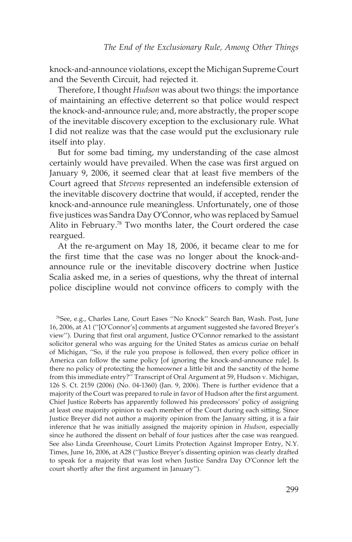knock-and-announce violations, except the Michigan Supreme Court and the Seventh Circuit, had rejected it.

Therefore, I thought *Hudson* was about two things: the importance of maintaining an effective deterrent so that police would respect the knock-and-announce rule; and, more abstractly, the proper scope of the inevitable discovery exception to the exclusionary rule. What I did not realize was that the case would put the exclusionary rule itself into play.

But for some bad timing, my understanding of the case almost certainly would have prevailed. When the case was first argued on January 9, 2006, it seemed clear that at least five members of the Court agreed that *Stevens* represented an indefensible extension of the inevitable discovery doctrine that would, if accepted, render the knock-and-announce rule meaningless. Unfortunately, one of those five justices was Sandra Day O'Connor, who was replaced by Samuel Alito in February.<sup>78</sup> Two months later, the Court ordered the case reargued.

At the re-argument on May 18, 2006, it became clear to me for the first time that the case was no longer about the knock-andannounce rule or the inevitable discovery doctrine when Justice Scalia asked me, in a series of questions, why the threat of internal police discipline would not convince officers to comply with the

78See, e.g., Charles Lane, Court Eases ''No Knock'' Search Ban, Wash. Post, June 16, 2006, at A1 (''[O'Connor's] comments at argument suggested she favored Breyer's view''). During that first oral argument, Justice O'Connor remarked to the assistant solicitor general who was arguing for the United States as amicus curiae on behalf of Michigan, ''So, if the rule you propose is followed, then every police officer in America can follow the same policy [of ignoring the knock-and-announce rule]. Is there no policy of protecting the homeowner a little bit and the sanctity of the home from this immediate entry?'' Transcript of Oral Argument at 59, Hudson v. Michigan, 126 S. Ct. 2159 (2006) (No. 04-1360) (Jan. 9, 2006). There is further evidence that a majority of the Court was prepared to rule in favor of Hudson after the first argument. Chief Justice Roberts has apparently followed his predecessors' policy of assigning at least one majority opinion to each member of the Court during each sitting. Since Justice Breyer did not author a majority opinion from the January sitting, it is a fair inference that he was initially assigned the majority opinion in *Hudson*, especially since he authored the dissent on behalf of four justices after the case was reargued. See also Linda Greenhouse, Court Limits Protection Against Improper Entry, N.Y. Times, June 16, 2006, at A28 (''Justice Breyer's dissenting opinion was clearly drafted to speak for a majority that was lost when Justice Sandra Day O'Connor left the court shortly after the first argument in January'').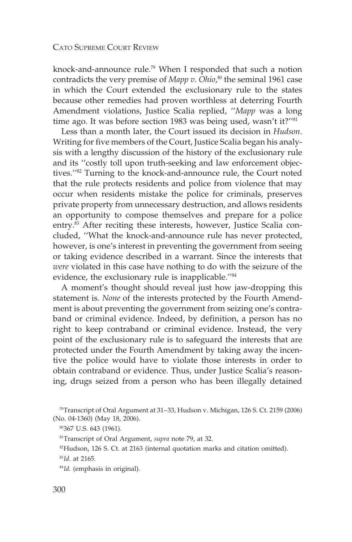knock-and-announce rule.<sup>79</sup> When I responded that such a notion contradicts the very premise of *Mapp v. Ohio*, <sup>80</sup> the seminal 1961 case in which the Court extended the exclusionary rule to the states because other remedies had proven worthless at deterring Fourth Amendment violations, Justice Scalia replied, ''*Mapp* was a long time ago. It was before section 1983 was being used, wasn't it?"<sup>81</sup>

Less than a month later, the Court issued its decision in *Hudson*. Writing for five members of the Court, Justice Scalia began his analysis with a lengthy discussion of the history of the exclusionary rule and its ''costly toll upon truth-seeking and law enforcement objectives.''82 Turning to the knock-and-announce rule, the Court noted that the rule protects residents and police from violence that may occur when residents mistake the police for criminals, preserves private property from unnecessary destruction, and allows residents an opportunity to compose themselves and prepare for a police entry.83 After reciting these interests, however, Justice Scalia concluded, ''What the knock-and-announce rule has never protected, however, is one's interest in preventing the government from seeing or taking evidence described in a warrant. Since the interests that *were* violated in this case have nothing to do with the seizure of the evidence, the exclusionary rule is inapplicable.''84

A moment's thought should reveal just how jaw-dropping this statement is. *None* of the interests protected by the Fourth Amendment is about preventing the government from seizing one's contraband or criminal evidence. Indeed, by definition, a person has no right to keep contraband or criminal evidence. Instead, the very point of the exclusionary rule is to safeguard the interests that are protected under the Fourth Amendment by taking away the incentive the police would have to violate those interests in order to obtain contraband or evidence. Thus, under Justice Scalia's reasoning, drugs seized from a person who has been illegally detained

<sup>79</sup>Transcript of Oral Argument at 31–33, Hudson v. Michigan, 126 S. Ct. 2159 (2006) (No. 04-1360) (May 18, 2006).

<sup>80367</sup> U.S. 643 (1961).

<sup>81</sup>Transcript of Oral Argument, *supra* note 79, at 32.

<sup>82</sup>Hudson, 126 S. Ct. at 2163 (internal quotation marks and citation omitted).

<sup>83</sup>*Id*. at 2165.

<sup>84</sup>*Id.* (emphasis in original).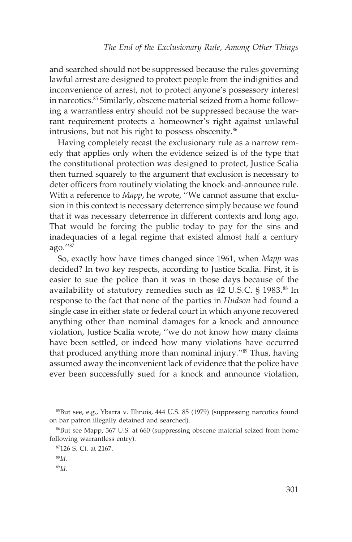and searched should not be suppressed because the rules governing lawful arrest are designed to protect people from the indignities and inconvenience of arrest, not to protect anyone's possessory interest in narcotics.<sup>85</sup> Similarly, obscene material seized from a home following a warrantless entry should not be suppressed because the warrant requirement protects a homeowner's right against unlawful intrusions, but not his right to possess obscenity.<sup>86</sup>

Having completely recast the exclusionary rule as a narrow remedy that applies only when the evidence seized is of the type that the constitutional protection was designed to protect, Justice Scalia then turned squarely to the argument that exclusion is necessary to deter officers from routinely violating the knock-and-announce rule. With a reference to *Mapp*, he wrote, ''We cannot assume that exclusion in this context is necessary deterrence simply because we found that it was necessary deterrence in different contexts and long ago. That would be forcing the public today to pay for the sins and inadequacies of a legal regime that existed almost half a century ago.''87

So, exactly how have times changed since 1961, when *Mapp* was decided? In two key respects, according to Justice Scalia. First, it is easier to sue the police than it was in those days because of the availability of statutory remedies such as 42 U.S.C. § 1983.88 In response to the fact that none of the parties in *Hudson* had found a single case in either state or federal court in which anyone recovered anything other than nominal damages for a knock and announce violation, Justice Scalia wrote, ''we do not know how many claims have been settled, or indeed how many violations have occurred that produced anything more than nominal injury."<sup>89</sup> Thus, having assumed away the inconvenient lack of evidence that the police have ever been successfully sued for a knock and announce violation,

<sup>85</sup>But see, e.g., Ybarra v. Illinois, 444 U.S. 85 (1979) (suppressing narcotics found on bar patron illegally detained and searched).

<sup>86</sup>But see Mapp, 367 U.S. at 660 (suppressing obscene material seized from home following warrantless entry).

<sup>87126</sup> S. Ct. at 2167.

<sup>88</sup>*Id.*

<sup>89</sup>*Id.*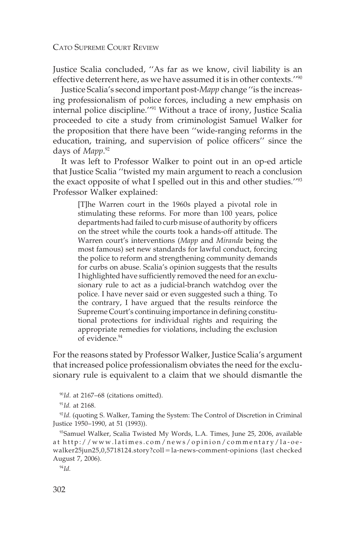Justice Scalia concluded, ''As far as we know, civil liability is an effective deterrent here, as we have assumed it is in other contexts.''90

Justice Scalia's second important post-*Mapp* change ''is the increasing professionalism of police forces, including a new emphasis on internal police discipline.''91 Without a trace of irony, Justice Scalia proceeded to cite a study from criminologist Samuel Walker for the proposition that there have been ''wide-ranging reforms in the education, training, and supervision of police officers'' since the days of *Mapp*. 92

It was left to Professor Walker to point out in an op-ed article that Justice Scalia ''twisted my main argument to reach a conclusion the exact opposite of what I spelled out in this and other studies.''93 Professor Walker explained:

[T]he Warren court in the 1960s played a pivotal role in stimulating these reforms. For more than 100 years, police departments had failed to curb misuse of authority by officers on the street while the courts took a hands-off attitude. The Warren court's interventions (*Mapp* and *Miranda* being the most famous) set new standards for lawful conduct, forcing the police to reform and strengthening community demands for curbs on abuse. Scalia's opinion suggests that the results I highlighted have sufficiently removed the need for an exclusionary rule to act as a judicial-branch watchdog over the police. I have never said or even suggested such a thing. To the contrary, I have argued that the results reinforce the Supreme Court's continuing importance in defining constitutional protections for individual rights and requiring the appropriate remedies for violations, including the exclusion of evidence.<sup>94</sup>

For the reasons stated by Professor Walker, Justice Scalia's argument that increased police professionalism obviates the need for the exclusionary rule is equivalent to a claim that we should dismantle the

<sup>90</sup>*Id*. at 2167–68 (citations omitted).

93Samuel Walker, Scalia Twisted My Words, L.A. Times, June 25, 2006, available at http://www.latimes.com/news/opinion/commentary/la-oewalker25jun25,0,5718124.story?coll-la-news-comment-opinions (last checked August 7, 2006).

<sup>94</sup>*Id.*

<sup>91</sup>*Id.* at 2168.

<sup>92</sup>*Id.* (quoting S. Walker, Taming the System: The Control of Discretion in Criminal Justice 1950–1990, at 51 (1993)).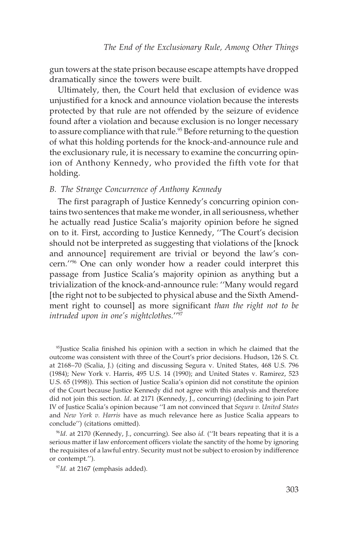gun towers at the state prison because escape attempts have dropped dramatically since the towers were built.

Ultimately, then, the Court held that exclusion of evidence was unjustified for a knock and announce violation because the interests protected by that rule are not offended by the seizure of evidence found after a violation and because exclusion is no longer necessary to assure compliance with that rule.<sup>95</sup> Before returning to the question of what this holding portends for the knock-and-announce rule and the exclusionary rule, it is necessary to examine the concurring opinion of Anthony Kennedy, who provided the fifth vote for that holding.

## *B. The Strange Concurrence of Anthony Kennedy*

The first paragraph of Justice Kennedy's concurring opinion contains two sentences that make me wonder, in all seriousness, whether he actually read Justice Scalia's majority opinion before he signed on to it. First, according to Justice Kennedy, ''The Court's decision should not be interpreted as suggesting that violations of the [knock and announce] requirement are trivial or beyond the law's concern.''96 One can only wonder how a reader could interpret this passage from Justice Scalia's majority opinion as anything but a trivialization of the knock-and-announce rule: ''Many would regard [the right not to be subjected to physical abuse and the Sixth Amendment right to counsel] as more significant *than the right not to be intruded upon in one's nightclothes.*''97

95Justice Scalia finished his opinion with a section in which he claimed that the outcome was consistent with three of the Court's prior decisions. Hudson, 126 S. Ct. at 2168–70 (Scalia, J.) (citing and discussing Segura v. United States, 468 U.S. 796 (1984); New York v. Harris, 495 U.S. 14 (1990); and United States v. Ramirez, 523 U.S. 65 (1998)). This section of Justice Scalia's opinion did not constitute the opinion of the Court because Justice Kennedy did not agree with this analysis and therefore did not join this section. *Id*. at 2171 (Kennedy, J., concurring) (declining to join Part IV of Justice Scalia's opinion because ''I am not convinced that *Segura v. United States* and *New York v. Harris* have as much relevance here as Justice Scalia appears to conclude'') (citations omitted).

<sup>96</sup>*Id*. at 2170 (Kennedy, J., concurring). See also *id.* (''It bears repeating that it is a serious matter if law enforcement officers violate the sanctity of the home by ignoring the requisites of a lawful entry. Security must not be subject to erosion by indifference or contempt.'').

<sup>97</sup>*Id.* at 2167 (emphasis added).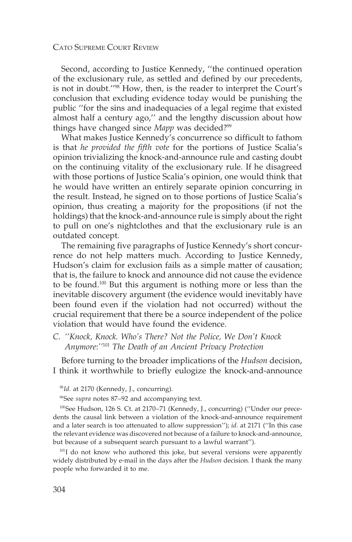Second, according to Justice Kennedy, ''the continued operation of the exclusionary rule, as settled and defined by our precedents, is not in doubt.''98 How, then, is the reader to interpret the Court's conclusion that excluding evidence today would be punishing the public ''for the sins and inadequacies of a legal regime that existed almost half a century ago,'' and the lengthy discussion about how things have changed since *Mapp* was decided?<sup>99</sup>

What makes Justice Kennedy's concurrence so difficult to fathom is that *he provided the fifth vote* for the portions of Justice Scalia's opinion trivializing the knock-and-announce rule and casting doubt on the continuing vitality of the exclusionary rule. If he disagreed with those portions of Justice Scalia's opinion, one would think that he would have written an entirely separate opinion concurring in the result. Instead, he signed on to those portions of Justice Scalia's opinion, thus creating a majority for the propositions (if not the holdings) that the knock-and-announce rule is simply about the right to pull on one's nightclothes and that the exclusionary rule is an outdated concept.

The remaining five paragraphs of Justice Kennedy's short concurrence do not help matters much. According to Justice Kennedy, Hudson's claim for exclusion fails as a simple matter of causation; that is, the failure to knock and announce did not cause the evidence to be found.100 But this argument is nothing more or less than the inevitable discovery argument (the evidence would inevitably have been found even if the violation had not occurred) without the crucial requirement that there be a source independent of the police violation that would have found the evidence.

*C. ''Knock, Knock. Who's There? Not the Police, We Don't Knock Anymore*:*''*<sup>101</sup> *The Death of an Ancient Privacy Protection*

Before turning to the broader implications of the *Hudson* decision, I think it worthwhile to briefly eulogize the knock-and-announce

<sup>98</sup>*Id.* at 2170 (Kennedy, J., concurring).

99See *supra* notes 87–92 and accompanying text.

100See Hudson, 126 S. Ct. at 2170–71 (Kennedy, J., concurring) (''Under our precedents the causal link between a violation of the knock-and-announce requirement and a later search is too attenuated to allow suppression''); *id.* at 2171 (''In this case the relevant evidence was discovered not because of a failure to knock-and-announce, but because of a subsequent search pursuant to a lawful warrant'').

<sup>101</sup>I do not know who authored this joke, but several versions were apparently widely distributed by e-mail in the days after the *Hudson* decision. I thank the many people who forwarded it to me.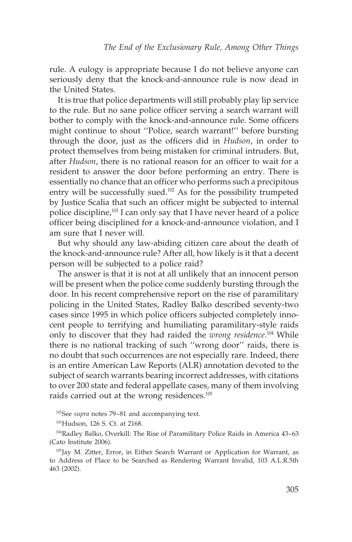rule. A eulogy is appropriate because I do not believe anyone can seriously deny that the knock-and-announce rule is now dead in the United States.

It is true that police departments will still probably play lip service to the rule. But no sane police officer serving a search warrant will bother to comply with the knock-and-announce rule. Some officers might continue to shout ''Police, search warrant!'' before bursting through the door, just as the officers did in *Hudson*, in order to protect themselves from being mistaken for criminal intruders. But, after *Hudson*, there is no rational reason for an officer to wait for a resident to answer the door before performing an entry. There is essentially no chance that an officer who performs such a precipitous entry will be successfully sued.<sup>102</sup> As for the possibility trumpeted by Justice Scalia that such an officer might be subjected to internal police discipline,103 I can only say that I have never heard of a police officer being disciplined for a knock-and-announce violation, and I am sure that I never will.

But why should any law-abiding citizen care about the death of the knock-and-announce rule? After all, how likely is it that a decent person will be subjected to a police raid?

The answer is that it is not at all unlikely that an innocent person will be present when the police come suddenly bursting through the door. In his recent comprehensive report on the rise of paramilitary policing in the United States, Radley Balko described seventy-two cases since 1995 in which police officers subjected completely innocent people to terrifying and humiliating paramilitary-style raids only to discover that they had raided the *wrong residence*. <sup>104</sup> While there is no national tracking of such ''wrong door'' raids, there is no doubt that such occurrences are not especially rare. Indeed, there is an entire American Law Reports (ALR) annotation devoted to the subject of search warrants bearing incorrect addresses, with citations to over 200 state and federal appellate cases, many of them involving raids carried out at the wrong residences.<sup>105</sup>

102See *supra* notes 79–81 and accompanying text.

104Radley Balko, Overkill: The Rise of Paramilitary Police Raids in America 43–63 (Cato Institute 2006).

105Jay M. Zitter, Error, in Either Search Warrant or Application for Warrant, as to Address of Place to be Searched as Rendering Warrant Invalid, 103 A.L.R.5th 463 (2002).

<sup>103</sup>Hudson, 126 S. Ct. at 2168.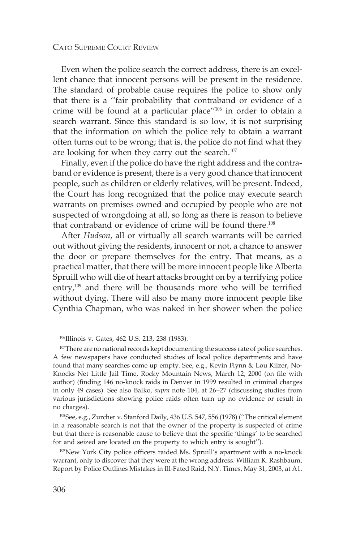Even when the police search the correct address, there is an excellent chance that innocent persons will be present in the residence. The standard of probable cause requires the police to show only that there is a ''fair probability that contraband or evidence of a crime will be found at a particular place''106 in order to obtain a search warrant. Since this standard is so low, it is not surprising that the information on which the police rely to obtain a warrant often turns out to be wrong; that is, the police do not find what they are looking for when they carry out the search.<sup>107</sup>

Finally, even if the police do have the right address and the contraband or evidence is present, there is a very good chance that innocent people, such as children or elderly relatives, will be present. Indeed, the Court has long recognized that the police may execute search warrants on premises owned and occupied by people who are not suspected of wrongdoing at all, so long as there is reason to believe that contraband or evidence of crime will be found there.108

After *Hudson*, all or virtually all search warrants will be carried out without giving the residents, innocent or not, a chance to answer the door or prepare themselves for the entry. That means, as a practical matter, that there will be more innocent people like Alberta Spruill who will die of heart attacks brought on by a terrifying police entry, $109$  and there will be thousands more who will be terrified without dying. There will also be many more innocent people like Cynthia Chapman, who was naked in her shower when the police

106Illinois v. Gates, 462 U.S. 213, 238 (1983).

<sup>107</sup>There are no national records kept documenting the success rate of police searches. A few newspapers have conducted studies of local police departments and have found that many searches come up empty. See, e.g., Kevin Flynn & Lou Kilzer, No-Knocks Net Little Jail Time, Rocky Mountain News, March 12, 2000 (on file with author) (finding 146 no-knock raids in Denver in 1999 resulted in criminal charges in only 49 cases). See also Balko, *supra* note 104, at 26–27 (discussing studies from various jurisdictions showing police raids often turn up no evidence or result in no charges).

108See, e.g., Zurcher v. Stanford Daily, 436 U.S. 547, 556 (1978) (''The critical element in a reasonable search is not that the owner of the property is suspected of crime but that there is reasonable cause to believe that the specific 'things' to be searched for and seized are located on the property to which entry is sought'').

109New York City police officers raided Ms. Spruill's apartment with a no-knock warrant, only to discover that they were at the wrong address. William K. Rashbaum, Report by Police Outlines Mistakes in Ill-Fated Raid, N.Y. Times, May 31, 2003, at A1.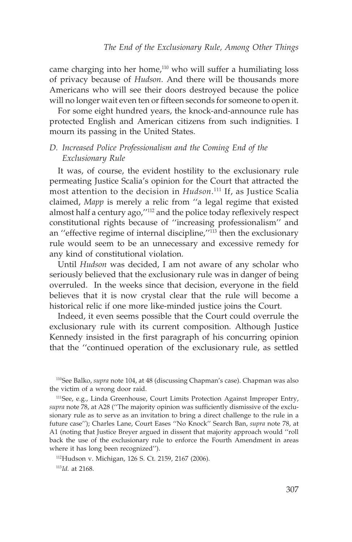came charging into her home,<sup>110</sup> who will suffer a humiliating loss of privacy because of *Hudson*. And there will be thousands more Americans who will see their doors destroyed because the police will no longer wait even ten or fifteen seconds for someone to open it.

For some eight hundred years, the knock-and-announce rule has protected English and American citizens from such indignities. I mourn its passing in the United States.

# *D. Increased Police Professionalism and the Coming End of the Exclusionary Rule*

It was, of course, the evident hostility to the exclusionary rule permeating Justice Scalia's opinion for the Court that attracted the most attention to the decision in *Hudson*. <sup>111</sup> If, as Justice Scalia claimed, *Mapp* is merely a relic from ''a legal regime that existed almost half a century ago,''112 and the police today reflexively respect constitutional rights because of ''increasing professionalism'' and an ''effective regime of internal discipline,''113 then the exclusionary rule would seem to be an unnecessary and excessive remedy for any kind of constitutional violation.

Until *Hudson* was decided, I am not aware of any scholar who seriously believed that the exclusionary rule was in danger of being overruled. In the weeks since that decision, everyone in the field believes that it is now crystal clear that the rule will become a historical relic if one more like-minded justice joins the Court.

Indeed, it even seems possible that the Court could overrule the exclusionary rule with its current composition. Although Justice Kennedy insisted in the first paragraph of his concurring opinion that the ''continued operation of the exclusionary rule, as settled

110See Balko, *supra* note 104, at 48 (discussing Chapman's case). Chapman was also the victim of a wrong door raid.

111See, e.g., Linda Greenhouse, Court Limits Protection Against Improper Entry, *supra* note 78, at A28 (''The majority opinion was sufficiently dismissive of the exclusionary rule as to serve as an invitation to bring a direct challenge to the rule in a future case''); Charles Lane, Court Eases ''No Knock'' Search Ban, *supra* note 78, at A1 (noting that Justice Breyer argued in dissent that majority approach would ''roll back the use of the exclusionary rule to enforce the Fourth Amendment in areas where it has long been recognized'').

112Hudson v. Michigan, 126 S. Ct. 2159, 2167 (2006). <sup>113</sup>*Id.* at 2168.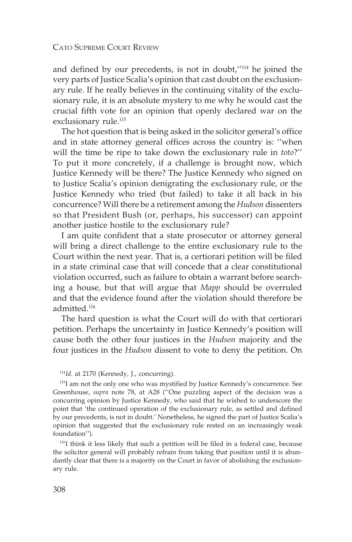and defined by our precedents, is not in doubt,''114 he joined the very parts of Justice Scalia's opinion that cast doubt on the exclusionary rule. If he really believes in the continuing vitality of the exclusionary rule, it is an absolute mystery to me why he would cast the crucial fifth vote for an opinion that openly declared war on the exclusionary rule.<sup>115</sup>

The hot question that is being asked in the solicitor general's office and in state attorney general offices across the country is: ''when will the time be ripe to take down the exclusionary rule in *toto*?'' To put it more concretely, if a challenge is brought now, which Justice Kennedy will be there? The Justice Kennedy who signed on to Justice Scalia's opinion denigrating the exclusionary rule, or the Justice Kennedy who tried (but failed) to take it all back in his concurrence? Will there be a retirement among the *Hudson* dissenters so that President Bush (or, perhaps, his successor) can appoint another justice hostile to the exclusionary rule?

I am quite confident that a state prosecutor or attorney general will bring a direct challenge to the entire exclusionary rule to the Court within the next year. That is, a certiorari petition will be filed in a state criminal case that will concede that a clear constitutional violation occurred, such as failure to obtain a warrant before searching a house, but that will argue that *Mapp* should be overruled and that the evidence found after the violation should therefore be admitted.116

The hard question is what the Court will do with that certiorari petition. Perhaps the uncertainty in Justice Kennedy's position will cause both the other four justices in the *Hudson* majority and the four justices in the *Hudson* dissent to vote to deny the petition. On

<sup>115</sup>I am not the only one who was mystified by Justice Kennedy's concurrence. See Greenhouse, *supra* note 78, at A28 (''One puzzling aspect of the decision was a concurring opinion by Justice Kennedy, who said that he wished to underscore the point that 'the continued operation of the exclusionary rule, as settled and defined by our precedents, is not in doubt.' Nonetheless, he signed the part of Justice Scalia's opinion that suggested that the exclusionary rule rested on an increasingly weak foundation'').

<sup>116</sup>I think it less likely that such a petition will be filed in a federal case, because the solicitor general will probably refrain from taking that position until it is abundantly clear that there is a majority on the Court in favor of abolishing the exclusionary rule.

<sup>114</sup>*Id.* at 2170 (Kennedy, J., concurring).